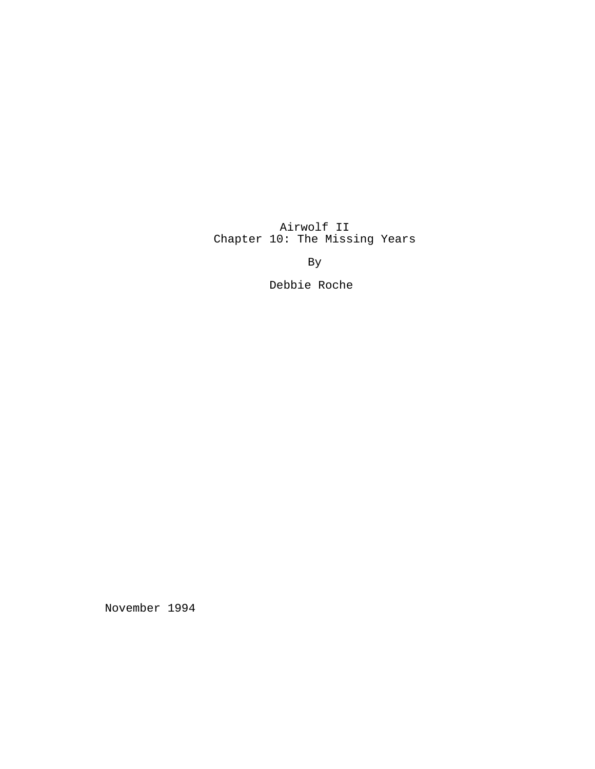Airwolf II Chapter 10: The Missing Years

By

Debbie Roche

November 1994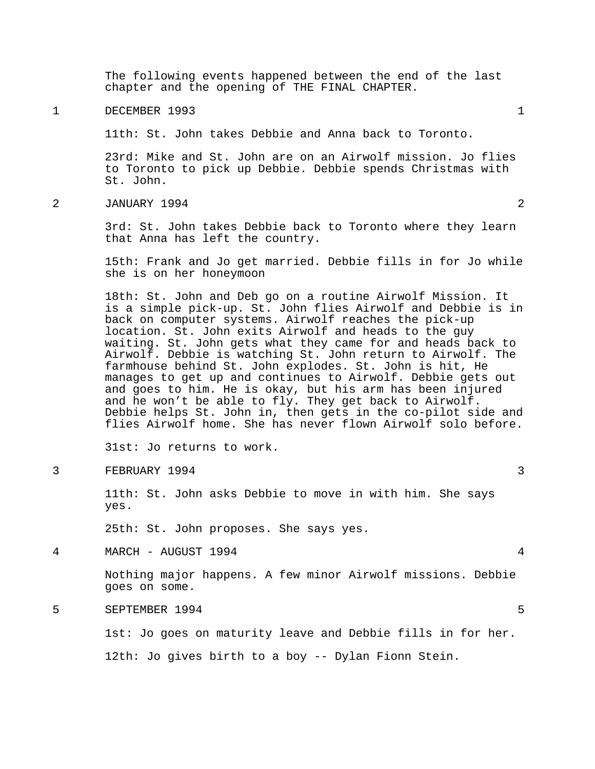The following events happened between the end of the last chapter and the opening of THE FINAL CHAPTER.

1 DECEMBER 1993 1

11th: St. John takes Debbie and Anna back to Toronto.

23rd: Mike and St. John are on an Airwolf mission. Jo flies to Toronto to pick up Debbie. Debbie spends Christmas with St. John.

2 JANUARY 1994 2

3rd: St. John takes Debbie back to Toronto where they learn that Anna has left the country.

15th: Frank and Jo get married. Debbie fills in for Jo while she is on her honeymoon

18th: St. John and Deb go on a routine Airwolf Mission. It is a simple pick-up. St. John flies Airwolf and Debbie is in back on computer systems. Airwolf reaches the pick-up location. St. John exits Airwolf and heads to the guy waiting. St. John gets what they came for and heads back to Airwolf. Debbie is watching St. John return to Airwolf. The farmhouse behind St. John explodes. St. John is hit, He manages to get up and continues to Airwolf. Debbie gets out and goes to him. He is okay, but his arm has been injured and he won't be able to fly. They get back to Airwolf. Debbie helps St. John in, then gets in the co-pilot side and flies Airwolf home. She has never flown Airwolf solo before.

31st: Jo returns to work.

3 FEBRUARY 1994 3

11th: St. John asks Debbie to move in with him. She says yes.

25th: St. John proposes. She says yes.

4 MARCH - AUGUST 1994 4

Nothing major happens. A few minor Airwolf missions. Debbie goes on some.

5 SEPTEMBER 1994 5

1st: Jo goes on maturity leave and Debbie fills in for her.

12th: Jo gives birth to a boy -- Dylan Fionn Stein.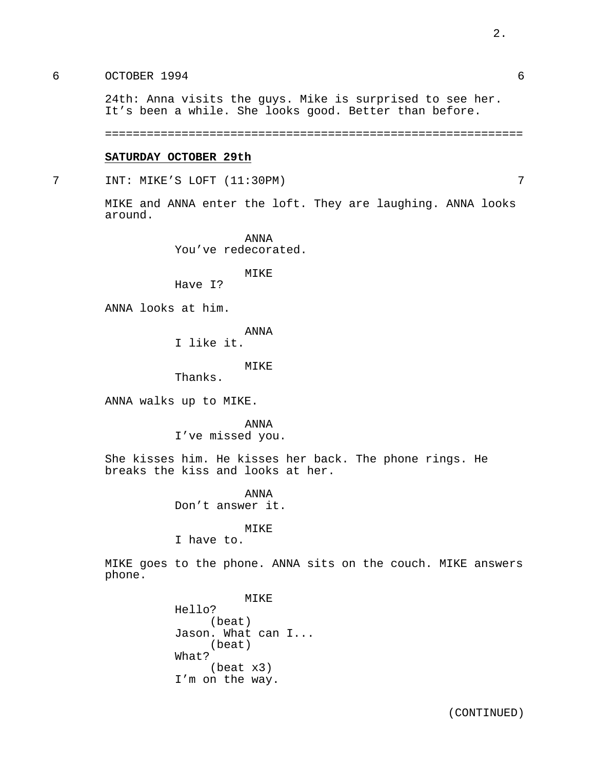### 6 OCTOBER 1994 6

24th: Anna visits the guys. Mike is surprised to see her. It's been a while. She looks good. Better than before.

============================================================

#### **SATURDAY OCTOBER 29th**

7 INT: MIKE'S LOFT (11:30PM) 7

MIKE and ANNA enter the loft. They are laughing. ANNA looks around.

> ANNA You've redecorated.

> > MIKE

Have I?

ANNA looks at him.

ANNA

I like it.

MIKE

Thanks.

ANNA walks up to MIKE.

ANNA I've missed you.

She kisses him. He kisses her back. The phone rings. He breaks the kiss and looks at her.

> ANNA Don't answer it.

# MIKE

I have to.

MIKE goes to the phone. ANNA sits on the couch. MIKE answers phone.

> MIKE Hello? (beat) Jason. What can I... (beat) What? (beat x3) I'm on the way.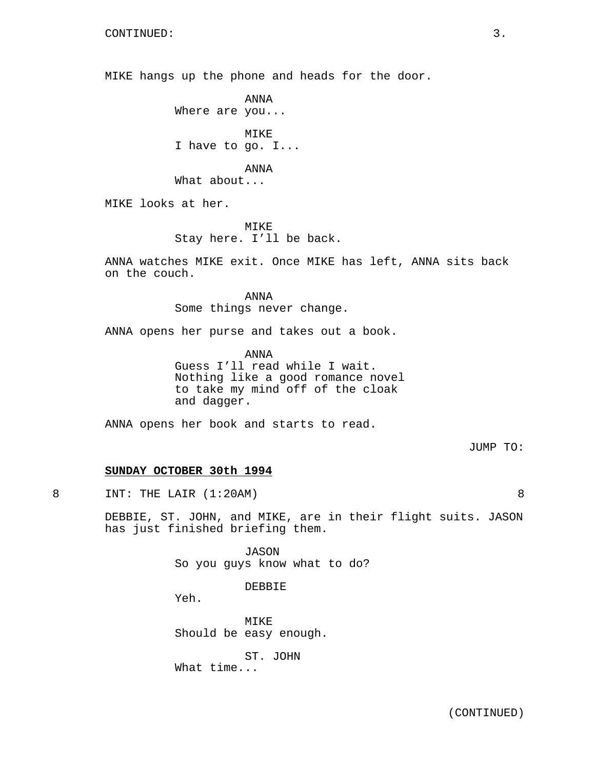MIKE hangs up the phone and heads for the door.

ANNA Where are you...

MIKE I have to go. I...

ANNA

What about...

MIKE looks at her.

MIKE Stay here. I'll be back.

ANNA watches MIKE exit. Once MIKE has left, ANNA sits back on the couch.

> ANNA Some things never change.

ANNA opens her purse and takes out a book.

ANNA Guess I'll read while I wait. Nothing like a good romance novel to take my mind off of the cloak and dagger.

ANNA opens her book and starts to read.

JUMP TO:

# **SUNDAY OCTOBER 30th 1994**

8 INT: THE LAIR (1:20AM) 8

DEBBIE, ST. JOHN, and MIKE, are in their flight suits. JASON has just finished briefing them.

> JASON So you guys know what to do?

> > DEBBIE

Yeh.

MIKE Should be easy enough.

ST. JOHN

What time...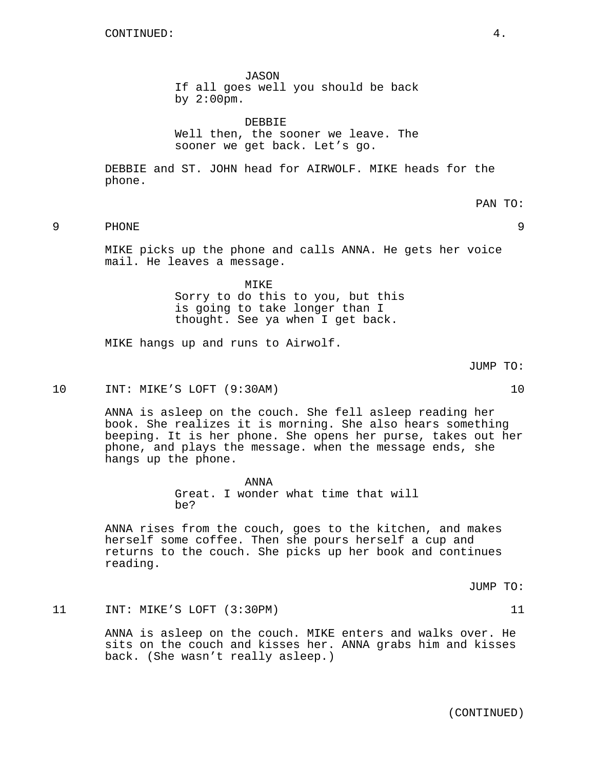JASON If all goes well you should be back by 2:00pm.

DEBBIE Well then, the sooner we leave. The sooner we get back. Let's go.

DEBBIE and ST. JOHN head for AIRWOLF. MIKE heads for the phone.

MIKE picks up the phone and calls ANNA. He gets her voice mail. He leaves a message.

> MIKE Sorry to do this to you, but this is going to take longer than I thought. See ya when I get back.

9 PHONE 9

MIKE hangs up and runs to Airwolf.

10 INT: MIKE'S LOFT (9:30AM) 10

ANNA is asleep on the couch. She fell asleep reading her book. She realizes it is morning. She also hears something beeping. It is her phone. She opens her purse, takes out her phone, and plays the message. when the message ends, she hangs up the phone.

> ANNA Great. I wonder what time that will be?

ANNA rises from the couch, goes to the kitchen, and makes herself some coffee. Then she pours herself a cup and returns to the couch. She picks up her book and continues reading.

JUMP TO:

11 INT: MIKE'S LOFT (3:30PM) 11 21

ANNA is asleep on the couch. MIKE enters and walks over. He sits on the couch and kisses her. ANNA grabs him and kisses back. (She wasn't really asleep.)

(CONTINUED)

PAN TO:

JUMP TO: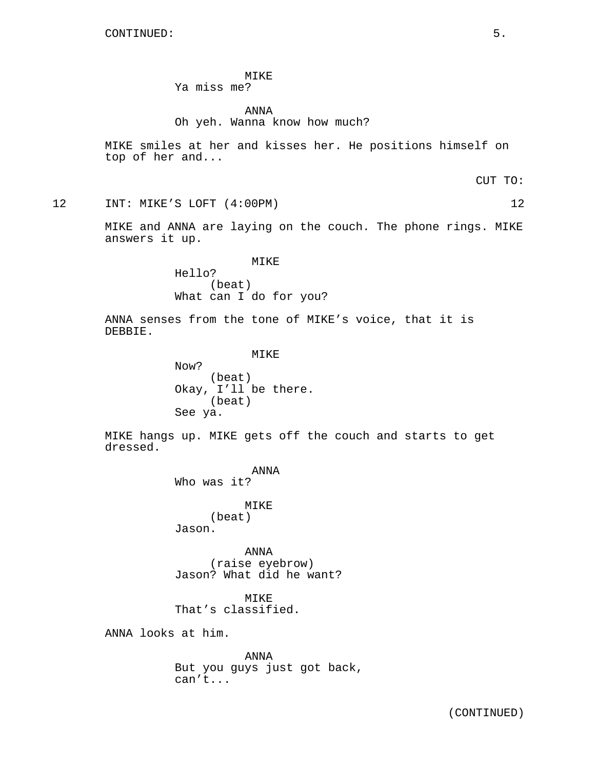# MIKE

# Ya miss me?

# ANNA Oh yeh. Wanna know how much?

MIKE smiles at her and kisses her. He positions himself on top of her and...

CUT TO:

12 INT: MIKE'S LOFT (4:00PM) 12

MIKE and ANNA are laying on the couch. The phone rings. MIKE answers it up.

### MIKE

Hello? (beat) What can I do for you?

ANNA senses from the tone of MIKE's voice, that it is DEBBIE.

MIKE

Now? (beat) Okay, I'll be there. (beat) See ya.

MIKE hangs up. MIKE gets off the couch and starts to get dressed.

> ANNA Who was it?

> > MIKE (beat)

Jason.

ANNA (raise eyebrow) Jason? What did he want?

MIKE That's classified.

ANNA looks at him.

ANNA But you guys just got back, can't...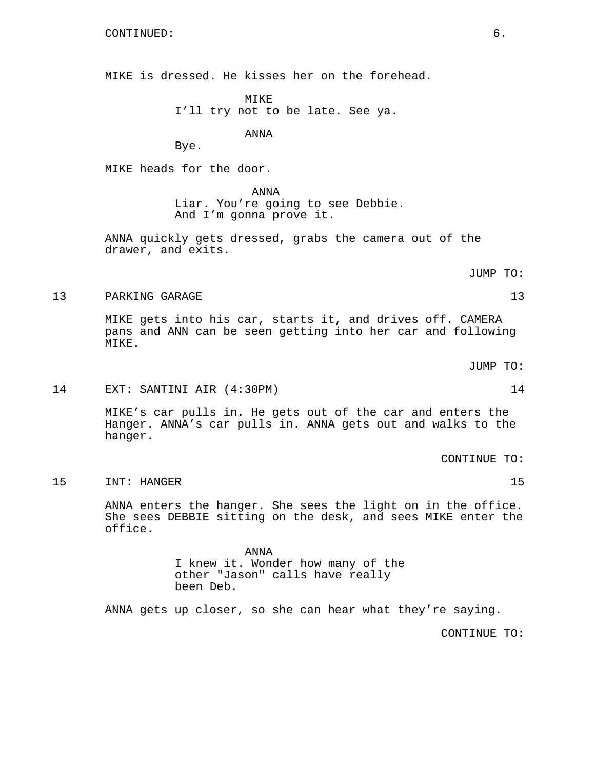MIKE is dressed. He kisses her on the forehead.

MIKE I'll try not to be late. See ya.

ANNA

Bye.

MIKE heads for the door.

ANNA Liar. You're going to see Debbie. And I'm gonna prove it.

ANNA quickly gets dressed, grabs the camera out of the drawer, and exits.

13 PARKING GARAGE 13

MIKE gets into his car, starts it, and drives off. CAMERA pans and ANN can be seen getting into her car and following MIKE.

JUMP TO:

JUMP TO:

14 EXT: SANTINI AIR (4:30PM) 14

MIKE's car pulls in. He gets out of the car and enters the Hanger. ANNA's car pulls in. ANNA gets out and walks to the hanger.

CONTINUE TO:

15 INT: HANGER 15

ANNA enters the hanger. She sees the light on in the office. She sees DEBBIE sitting on the desk, and sees MIKE enter the office.

> ANNA I knew it. Wonder how many of the other "Jason" calls have really been Deb.

ANNA gets up closer, so she can hear what they're saying.

CONTINUE TO: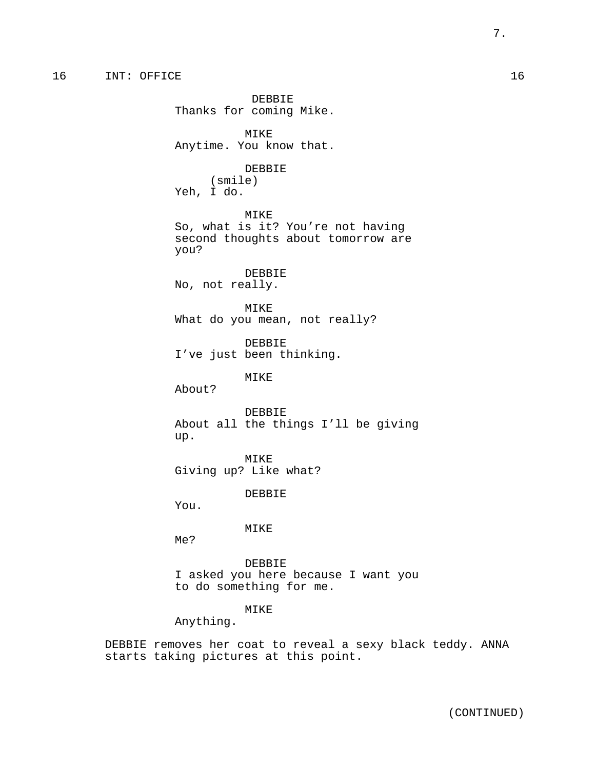DEBBIE Thanks for coming Mike. MIKE Anytime. You know that. DEBBIE (smile) Yeh, I do. MIKE So, what is it? You're not having second thoughts about tomorrow are you? DEBBIE No, not really. MIKE What do you mean, not really? DEBBIE I've just been thinking. MIKE About? DEBBIE About all the things I'll be giving up. MIKE Giving up? Like what? DEBBIE You. MIKE Me? DEBBIE I asked you here because I want you to do something for me.

# MIKE

Anything.

DEBBIE removes her coat to reveal a sexy black teddy. ANNA starts taking pictures at this point.

7.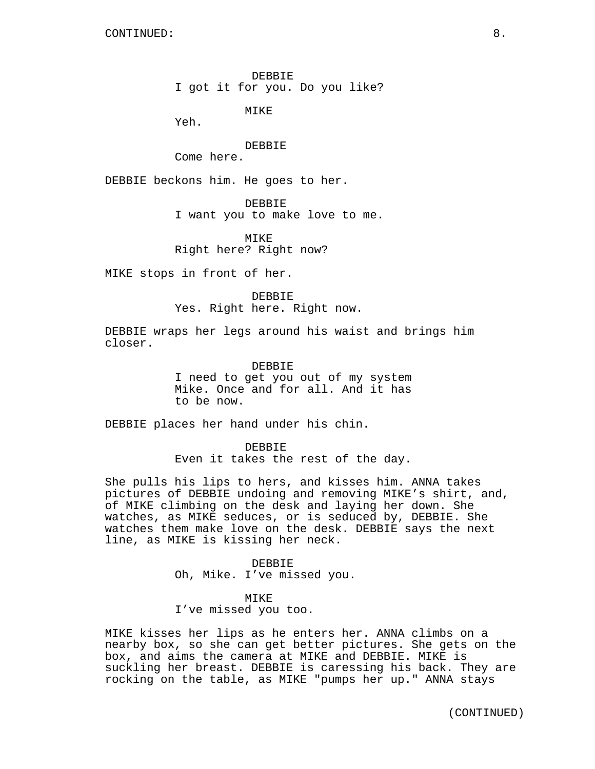DEBBIE I got it for you. Do you like?

MIKE

Yeh.

DEBBIE

Come here.

DEBBIE beckons him. He goes to her.

DEBBIE

I want you to make love to me.

MIKE Right here? Right now?

MIKE stops in front of her.

DEBBIE Yes. Right here. Right now.

DEBBIE wraps her legs around his waist and brings him closer.

> DEBBIE I need to get you out of my system Mike. Once and for all. And it has to be now.

DEBBIE places her hand under his chin.

DEBBIE Even it takes the rest of the day.

She pulls his lips to hers, and kisses him. ANNA takes pictures of DEBBIE undoing and removing MIKE's shirt, and, of MIKE climbing on the desk and laying her down. She watches, as MIKE seduces, or is seduced by, DEBBIE. She watches them make love on the desk. DEBBIE says the next line, as MIKE is kissing her neck.

> DEBBIE Oh, Mike. I've missed you.

MIKE I've missed you too.

MIKE kisses her lips as he enters her. ANNA climbs on a nearby box, so she can get better pictures. She gets on the box, and aims the camera at MIKE and DEBBIE. MIKE is suckling her breast. DEBBIE is caressing his back. They are rocking on the table, as MIKE "pumps her up." ANNA stays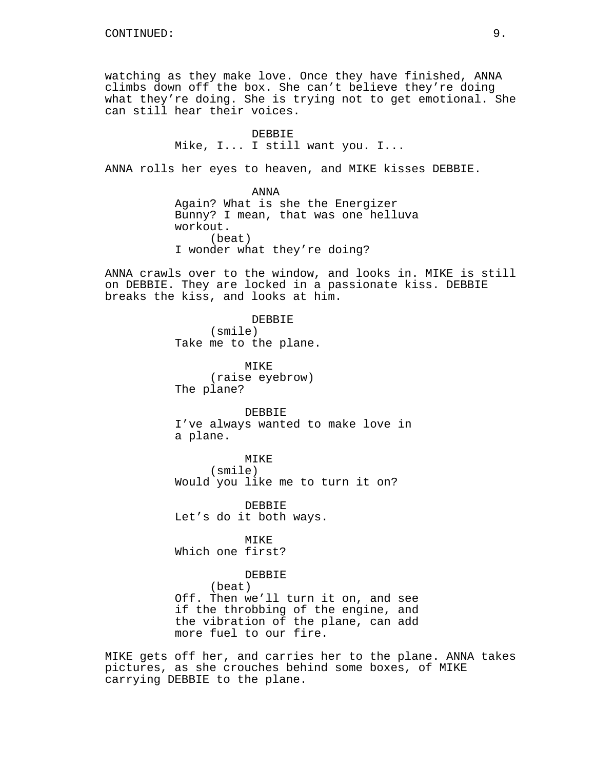watching as they make love. Once they have finished, ANNA climbs down off the box. She can't believe they're doing what they're doing. She is trying not to get emotional. She can still hear their voices.

> DEBBIE Mike, I... I still want you. I...

ANNA rolls her eyes to heaven, and MIKE kisses DEBBIE.

ANNA Again? What is she the Energizer Bunny? I mean, that was one helluva workout. (beat) I wonder what they're doing?

ANNA crawls over to the window, and looks in. MIKE is still on DEBBIE. They are locked in a passionate kiss. DEBBIE breaks the kiss, and looks at him.

> DEBBIE (smile) Take me to the plane.

MIKE (raise eyebrow) The plane?

DEBBIE I've always wanted to make love in a plane.

MIKE (smile) Would you like me to turn it on?

DEBBIE Let's do it both ways.

MIKE Which one first?

DEBBIE

(beat) Off. Then we'll turn it on, and see if the throbbing of the engine, and the vibration of the plane, can add more fuel to our fire.

MIKE gets off her, and carries her to the plane. ANNA takes pictures, as she crouches behind some boxes, of MIKE carrying DEBBIE to the plane.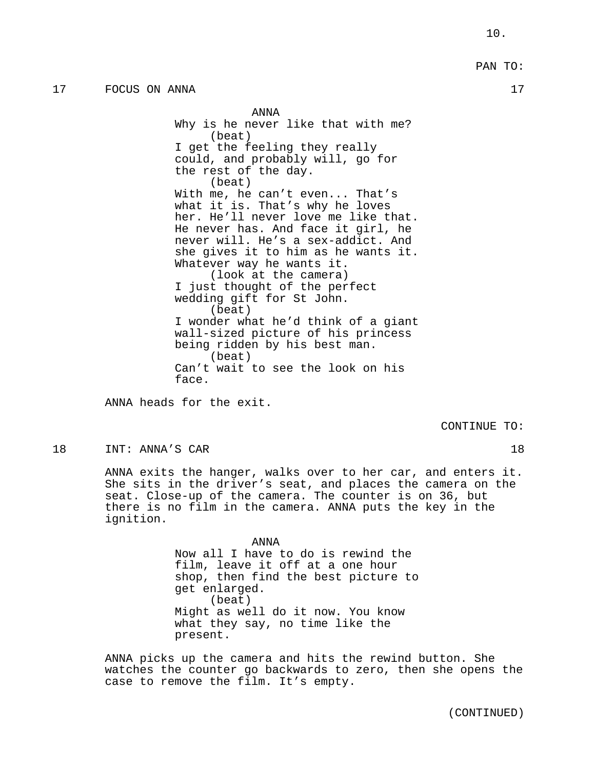### PAN TO:

ANNA Why is he never like that with me? (beat) I get the feeling they really could, and probably will, go for the rest of the day. (beat) With me, he can't even... That's what it is. That's why he loves her. He'll never love me like that. He never has. And face it girl, he never will. He's a sex-addict. And she gives it to him as he wants it. Whatever way he wants it. (look at the camera) I just thought of the perfect wedding gift for St John. (beat) I wonder what he'd think of a giant wall-sized picture of his princess being ridden by his best man. (beat) Can't wait to see the look on his face.

ANNA heads for the exit.

CONTINUE TO:

18 INT: ANNA'S CAR 18

ANNA exits the hanger, walks over to her car, and enters it. She sits in the driver's seat, and places the camera on the seat. Close-up of the camera. The counter is on 36, but there is no film in the camera. ANNA puts the key in the ignition.

> ANNA Now all I have to do is rewind the film, leave it off at a one hour shop, then find the best picture to get enlarged. (beat) Might as well do it now. You know what they say, no time like the present.

ANNA picks up the camera and hits the rewind button. She watches the counter go backwards to zero, then she opens the case to remove the film. It's empty.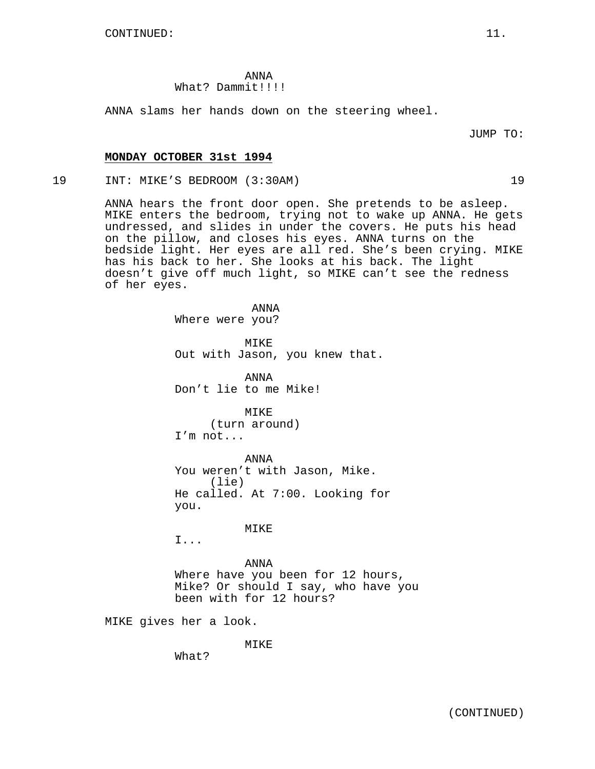ANNA What? Dammit!!!!!

ANNA slams her hands down on the steering wheel.

JUMP TO:

### **MONDAY OCTOBER 31st 1994**

19 INT: MIKE'S BEDROOM (3:30AM) 19

ANNA hears the front door open. She pretends to be asleep. MIKE enters the bedroom, trying not to wake up ANNA. He gets undressed, and slides in under the covers. He puts his head on the pillow, and closes his eyes. ANNA turns on the bedside light. Her eyes are all red. She's been crying. MIKE has his back to her. She looks at his back. The light doesn't give off much light, so MIKE can't see the redness of her eyes.

> ANNA Where were you?

MIKE Out with Jason, you knew that.

ANNA Don't lie to me Mike!

MIKE (turn around) I'm not...

ANNA You weren't with Jason, Mike. (lie) He called. At 7:00. Looking for you.

## **MTKE**

I...

ANNA Where have you been for 12 hours, Mike? Or should I say, who have you been with for 12 hours?

MIKE gives her a look.

MIKE

What?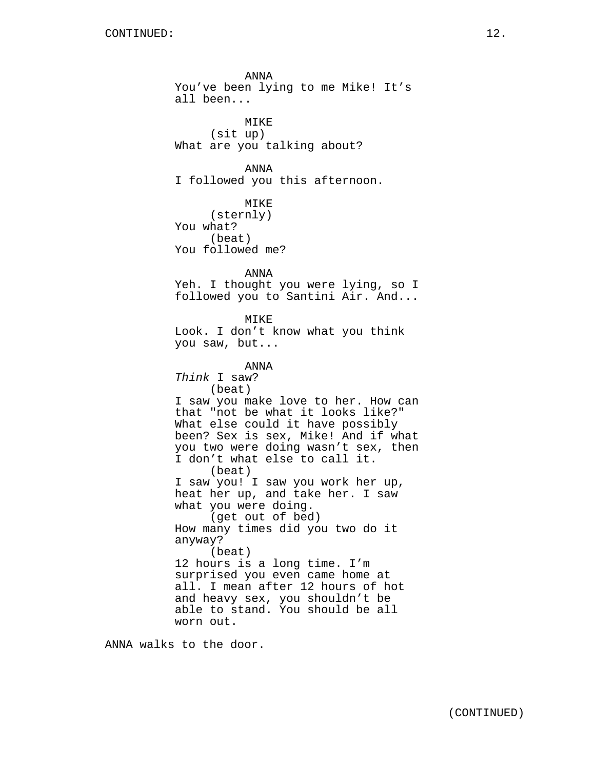ANNA You've been lying to me Mike! It's all been... MIKE (sit up) What are you talking about? ANNA I followed you this afternoon. MIKE (sternly) You what? (beat) You followed me? ANNA Yeh. I thought you were lying, so I followed you to Santini Air. And... MIKE Look. I don't know what you think you saw, but... ANNA Think I saw? (beat) I saw you make love to her. How can that "not be what it looks like?" What else could it have possibly been? Sex is sex, Mike! And if what you two were doing wasn't sex, then I don't what else to call it. (beat) I saw you! I saw you work her up, heat her up, and take her. I saw what you were doing. (get out of bed) How many times did you two do it anyway? (beat) 12 hours is a long time. I'm surprised you even came home at all. I mean after 12 hours of hot and heavy sex, you shouldn't be able to stand. You should be all worn out.

ANNA walks to the door.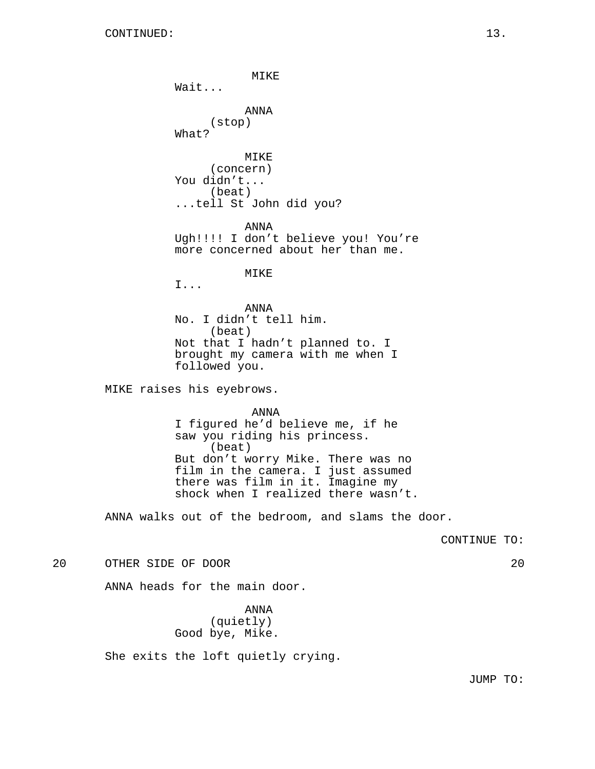MIKE Wait... ANNA (stop) What? MIKE (concern) You didn't... (beat) ...tell St John did you? ANNA Ugh!!!! I don't believe you! You're more concerned about her than me. MIKE I... ANNA No. I didn't tell him. (beat) Not that I hadn't planned to. I brought my camera with me when I followed you. MIKE raises his eyebrows. ANNA I figured he'd believe me, if he saw you riding his princess. (beat) But don't worry Mike. There was no film in the camera. I just assumed there was film in it. Imagine my shock when I realized there wasn't. ANNA walks out of the bedroom, and slams the door. CONTINUE TO: 20 OTHER SIDE OF DOOR 20 ANNA heads for the main door.

> ANNA (quietly) Good bye, Mike.

She exits the loft quietly crying.

JUMP TO: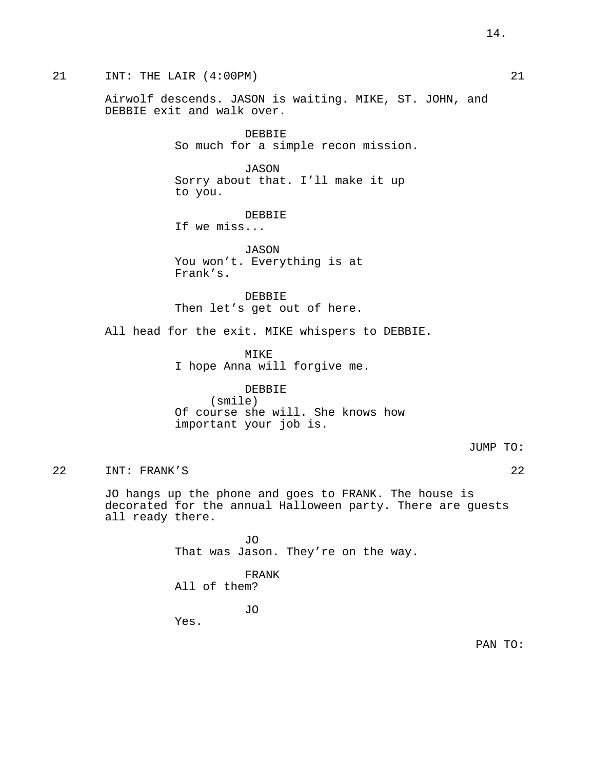21 INT: THE LAIR (4:00PM) 21

Airwolf descends. JASON is waiting. MIKE, ST. JOHN, and DEBBIE exit and walk over.

> DEBBIE So much for a simple recon mission.

JASON Sorry about that. I'll make it up to you.

DEBBIE If we miss...

JASON You won't. Everything is at Frank's.

DEBBIE Then let's get out of here.

All head for the exit. MIKE whispers to DEBBIE.

MIKE I hope Anna will forgive me.

#### DEBBIE

(smile) Of course she will. She knows how important your job is.

JUMP TO:

22 INT: FRANK'S 22

JO hangs up the phone and goes to FRANK. The house is decorated for the annual Halloween party. There are guests all ready there.

> JO That was Jason. They're on the way.

FRANK All of them?

JO

Yes.

PAN TO: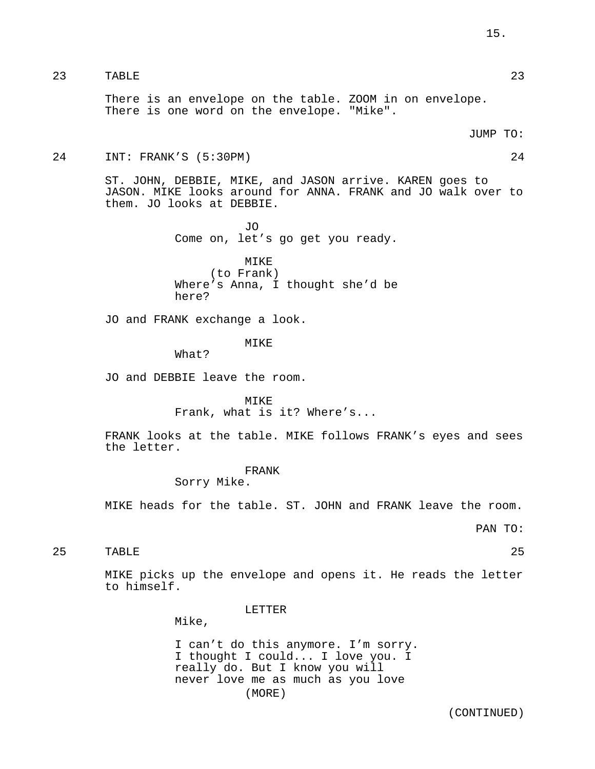# 23 TABLE 23

There is an envelope on the table. ZOOM in on envelope. There is one word on the envelope. "Mike".

#### JUMP TO:

#### 24 INT: FRANK'S (5:30PM) 24

ST. JOHN, DEBBIE, MIKE, and JASON arrive. KAREN goes to JASON. MIKE looks around for ANNA. FRANK and JO walk over to them. JO looks at DEBBIE.

> JO Come on, let's go get you ready.

MIKE (to Frank) Where's Anna, I thought she'd be here?

JO and FRANK exchange a look.

### MIKE

What?

JO and DEBBIE leave the room.

MIKE Frank, what is it? Where's...

FRANK looks at the table. MIKE follows FRANK's eyes and sees the letter.

FRANK

Sorry Mike.

MIKE heads for the table. ST. JOHN and FRANK leave the room.

PAN TO:

25 TABLE 25

MIKE picks up the envelope and opens it. He reads the letter to himself.

LETTER

Mike,

I can't do this anymore. I'm sorry. I thought I could... I love you. I really do. But I know you will never love me as much as you love (MORE)

(CONTINUED)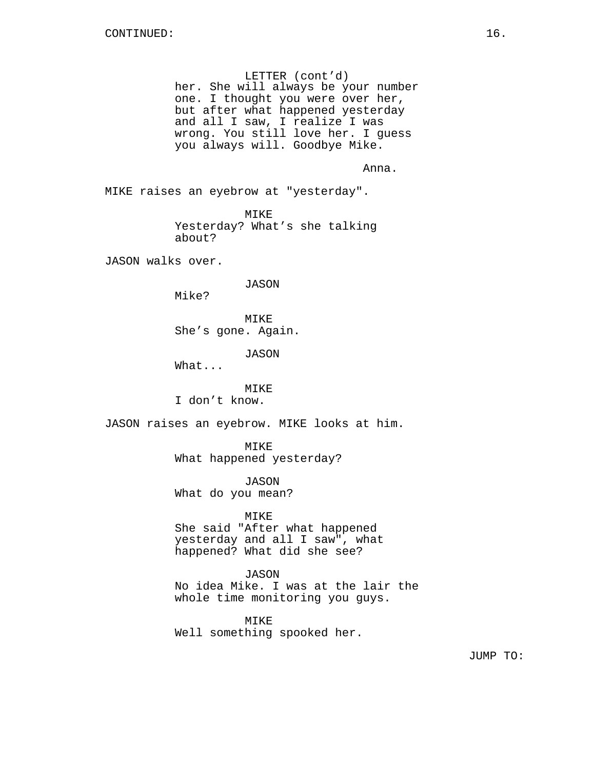LETTER (cont'd) her. She will always be your number one. I thought you were over her, but after what happened yesterday and all I saw, I realize I was wrong. You still love her. I guess you always will. Goodbye Mike.

Anna.

MIKE raises an eyebrow at "yesterday".

MIKE Yesterday? What's she talking about?

JASON walks over.

JASON

Mike?

MIKE She's gone. Again.

JASON

What...

#### MIKE

I don't know.

JASON raises an eyebrow. MIKE looks at him.

MIKE

What happened yesterday?

JASON What do you mean?

#### MIKE

She said "After what happened yesterday and all I saw", what happened? What did she see?

## JASON

No idea Mike. I was at the lair the whole time monitoring you guys.

MIKE Well something spooked her.

JUMP TO: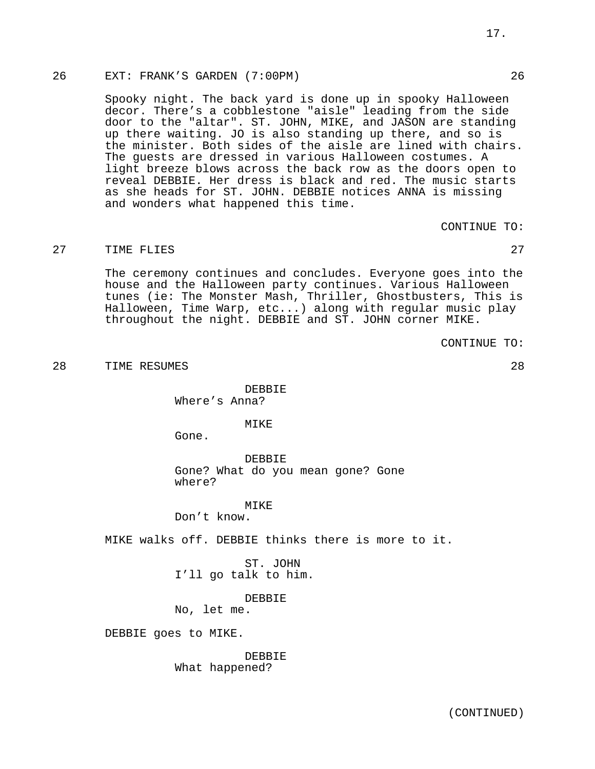# 26 EXT: FRANK'S GARDEN (7:00PM) 26

Spooky night. The back yard is done up in spooky Halloween decor. There's a cobblestone "aisle" leading from the side door to the "altar". ST. JOHN, MIKE, and JASON are standing up there waiting. JO is also standing up there, and so is the minister. Both sides of the aisle are lined with chairs. The guests are dressed in various Halloween costumes. A light breeze blows across the back row as the doors open to reveal DEBBIE. Her dress is black and red. The music starts as she heads for ST. JOHN. DEBBIE notices ANNA is missing and wonders what happened this time.

CONTINUE TO:

# 27 TIME FLIES 27 27

The ceremony continues and concludes. Everyone goes into the house and the Halloween party continues. Various Halloween tunes (ie: The Monster Mash, Thriller, Ghostbusters, This is Halloween, Time Warp, etc...) along with regular music play throughout the night. DEBBIE and ST. JOHN corner MIKE.

CONTINUE TO:

28 TIME RESUMES 28

DEBBIE Where's Anna?

MTK<sub>E</sub>

Gone.

DEBBIE Gone? What do you mean gone? Gone where?

#### **MTKE**

Don't know.

MIKE walks off. DEBBIE thinks there is more to it.

ST. JOHN I'll go talk to him.

DEBBIE

No, let me.

DEBBIE goes to MIKE.

DEBBIE What happened?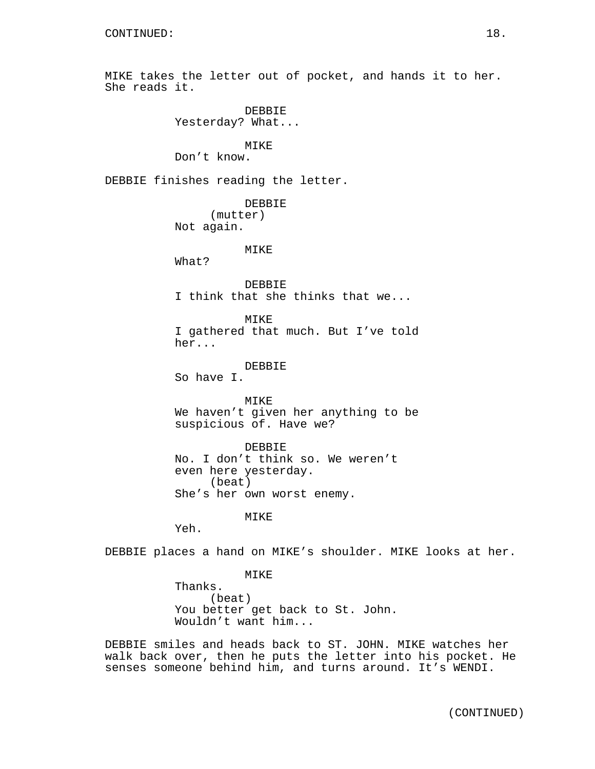MIKE takes the letter out of pocket, and hands it to her. She reads it.

> DEBBIE Yesterday? What...

> > MIKE

Don't know.

DEBBIE finishes reading the letter.

DEBBIE (mutter) Not again.

#### MIKE

What?

DEBBIE I think that she thinks that we...

MIKE I gathered that much. But I've told her...

DEBBIE

So have I.

MIKE We haven't given her anything to be suspicious of. Have we?

DEBBIE No. I don't think so. We weren't even here yesterday. (beat) She's her own worst enemy.

MIKE

Yeh.

DEBBIE places a hand on MIKE's shoulder. MIKE looks at her.

MIKE

Thanks. (beat) You better get back to St. John. Wouldn't want him...

DEBBIE smiles and heads back to ST. JOHN. MIKE watches her walk back over, then he puts the letter into his pocket. He senses someone behind him, and turns around. It's WENDI.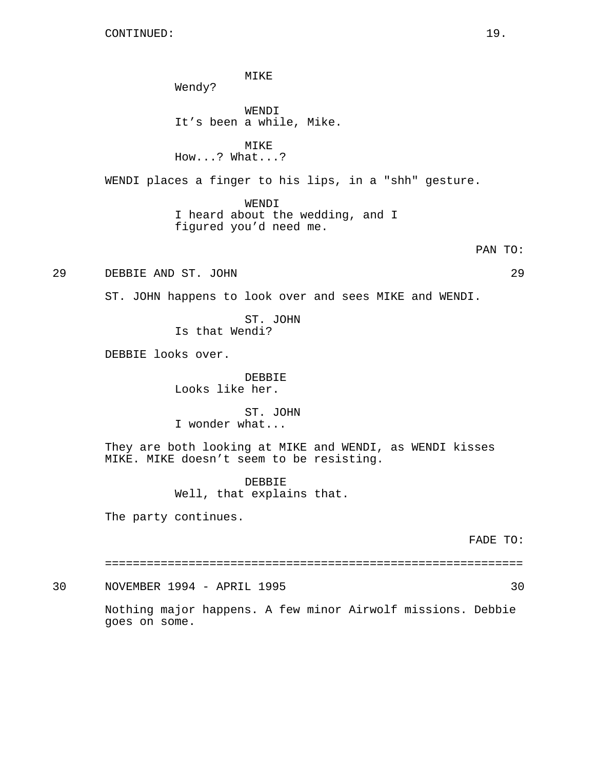MIKE Wendy? WENDI It's been a while, Mike. MIKE How...? What...? WENDI places a finger to his lips, in a "shh" gesture. WENDI I heard about the wedding, and I figured you'd need me. PAN TO: 29 DEBBIE AND ST. JOHN 29 ST. JOHN happens to look over and sees MIKE and WENDI. ST. JOHN Is that Wendi? DEBBIE looks over. DEBBIE Looks like her. ST. JOHN I wonder what... They are both looking at MIKE and WENDI, as WENDI kisses MIKE. MIKE doesn't seem to be resisting. DEBBIE Well, that explains that. The party continues. FADE TO: ============================================================

30 NOVEMBER 1994 - APRIL 1995 30

Nothing major happens. A few minor Airwolf missions. Debbie goes on some.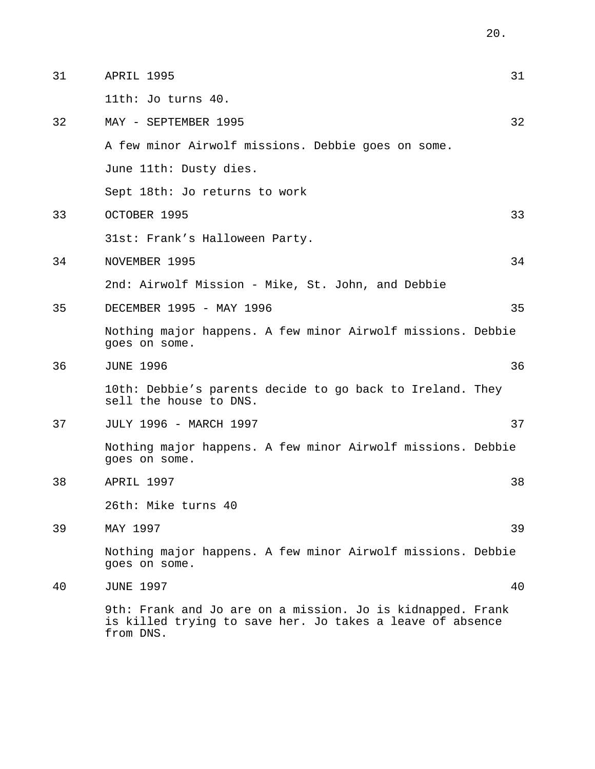| 31 | APRIL 1995                                                                                                                           | 31 |
|----|--------------------------------------------------------------------------------------------------------------------------------------|----|
|    | 11th: Jo turns 40.                                                                                                                   |    |
| 32 | MAY - SEPTEMBER 1995                                                                                                                 | 32 |
|    | A few minor Airwolf missions. Debbie goes on some.                                                                                   |    |
|    | June 11th: Dusty dies.                                                                                                               |    |
|    | Sept 18th: Jo returns to work                                                                                                        |    |
| 33 | OCTOBER 1995                                                                                                                         | 33 |
|    | 31st: Frank's Halloween Party.                                                                                                       |    |
| 34 | NOVEMBER 1995                                                                                                                        | 34 |
|    | 2nd: Airwolf Mission - Mike, St. John, and Debbie                                                                                    |    |
| 35 | DECEMBER 1995 - MAY 1996                                                                                                             | 35 |
|    | Nothing major happens. A few minor Airwolf missions. Debbie<br>goes on some.                                                         |    |
| 36 | <b>JUNE 1996</b>                                                                                                                     | 36 |
|    | 10th: Debbie's parents decide to go back to Ireland. They<br>sell the house to DNS.                                                  |    |
| 37 | JULY 1996 - MARCH 1997                                                                                                               | 37 |
|    | Nothing major happens. A few minor Airwolf missions. Debbie<br>goes on some.                                                         |    |
| 38 | APRIL 1997                                                                                                                           | 38 |
|    | 26th: Mike turns 40                                                                                                                  |    |
| 39 | MAY 1997                                                                                                                             | 39 |
|    | Nothing major happens. A few minor Airwolf missions. Debbie<br>goes on some.                                                         |    |
| 40 | <b>JUNE 1997</b>                                                                                                                     | 40 |
|    | 9th: Frank and Jo are on a mission. Jo is kidnapped. Frank<br>is killed trying to save her. Jo takes a leave of absence<br>from DNS. |    |